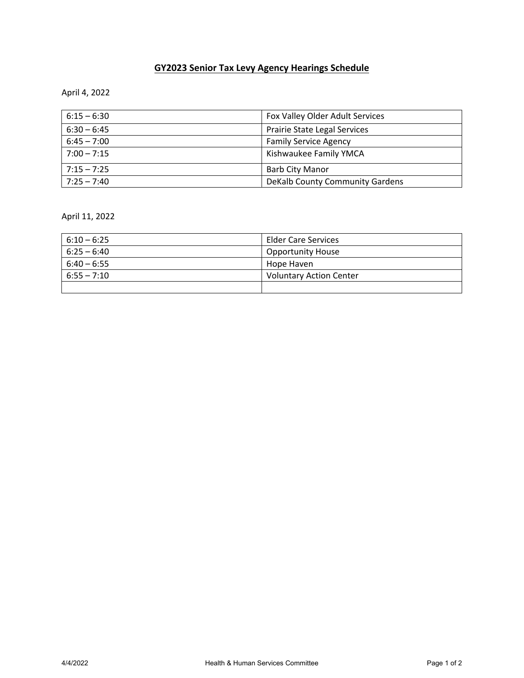## **GY2023 Senior Tax Levy Agency Hearings Schedule**

April 4, 2022

| $6:15 - 6:30$ | Fox Valley Older Adult Services |
|---------------|---------------------------------|
| $6:30 - 6:45$ | Prairie State Legal Services    |
| $6:45 - 7:00$ | <b>Family Service Agency</b>    |
| $7:00 - 7:15$ | Kishwaukee Family YMCA          |
| $7:15 - 7:25$ | <b>Barb City Manor</b>          |
| $7:25 - 7:40$ | DeKalb County Community Gardens |

April 11, 2022

| $6:10 - 6:25$ | <b>Elder Care Services</b>     |
|---------------|--------------------------------|
| $6:25 - 6:40$ | <b>Opportunity House</b>       |
| $6:40 - 6:55$ | Hope Haven                     |
| $6:55 - 7:10$ | <b>Voluntary Action Center</b> |
|               |                                |